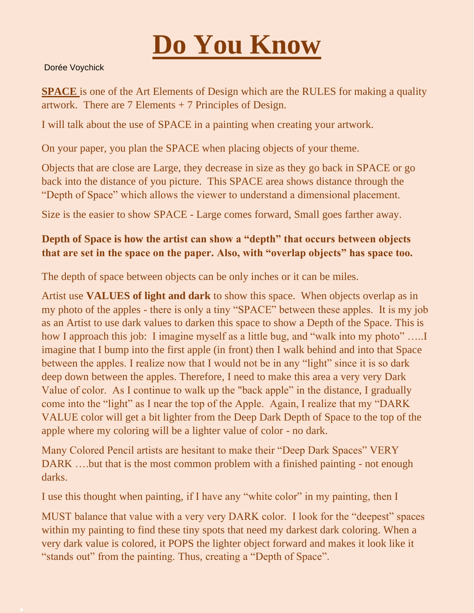

## Dorée Voychick

**SPACE** is one of the Art Elements of Design which are the RULES for making a quality artwork. There are 7 Elements + 7 Principles of Design.

I will talk about the use of SPACE in a painting when creating your artwork.

On your paper, you plan the SPACE when placing objects of your theme.

Objects that are close are Large, they decrease in size as they go back in SPACE or go back into the distance of you picture. This SPACE area shows distance through the "Depth of Space" which allows the viewer to understand a dimensional placement.

Size is the easier to show SPACE - Large comes forward, Small goes farther away.

## **Depth of Space is how the artist can show a "depth" that occurs between objects that are set in the space on the paper. Also, with "overlap objects" has space too.**

The depth of space between objects can be only inches or it can be miles.

Artist use **VALUES of light and dark** to show this space. When objects overlap as in my photo of the apples - there is only a tiny "SPACE" between these apples. It is my job as an Artist to use dark values to darken this space to show a Depth of the Space. This is how I approach this job: I imagine myself as a little bug, and "walk into my photo" ..... imagine that I bump into the first apple (in front) then I walk behind and into that Space between the apples. I realize now that I would not be in any "light" since it is so dark deep down between the apples. Therefore, I need to make this area a very very Dark Value of color. As I continue to walk up the "back apple" in the distance, I gradually come into the "light" as I near the top of the Apple. Again, I realize that my "DARK VALUE color will get a bit lighter from the Deep Dark Depth of Space to the top of the apple where my coloring will be a lighter value of color - no dark.

Many Colored Pencil artists are hesitant to make their "Deep Dark Spaces" VERY DARK ....but that is the most common problem with a finished painting - not enough darks.

I use this thought when painting, if I have any "white color" in my painting, then I

MUST balance that value with a very very DARK color. I look for the "deepest" spaces within my painting to find these tiny spots that need my darkest dark coloring. When a very dark value is colored, it POPS the lighter object forward and makes it look like it "stands out" from the painting. Thus, creating a "Depth of Space".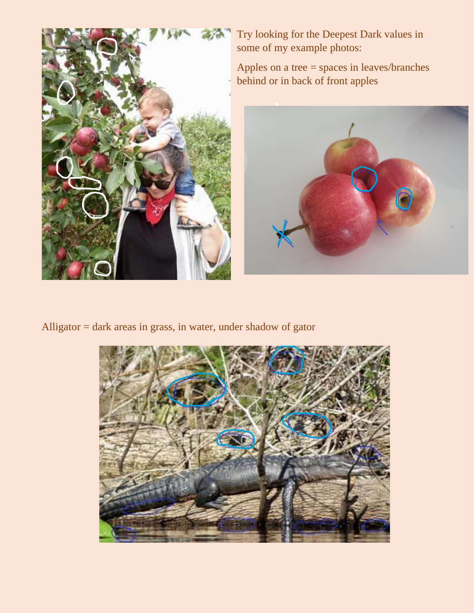

Try looking for the Deepest Dark values in some of my example photos:

Apples on a tree = spaces in leaves/branches behind or in back of front apples



Alligator = dark areas in grass, in water, under shadow of gator